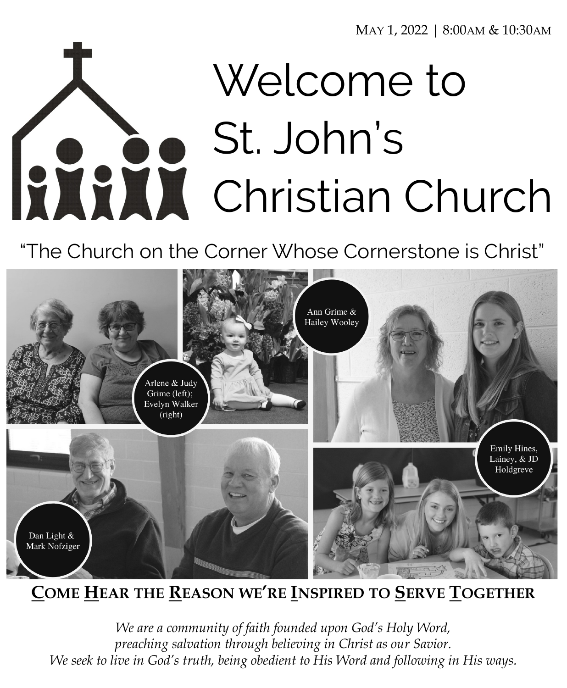MAY 1, 2022 | 8:00AM & 10:30AM

# Welcome to St. John's Christian Church

"The Church on the Corner Whose Cornerstone is Christ"



**COME HEAR THE REASON WE'RE INSPIRED TO SERVE TOGETHER**

*We are a community of faith founded upon God's Holy Word, preaching salvation through believing in Christ as our Savior. We seek to live in God's truth, being obedient to His Word and following in His ways.*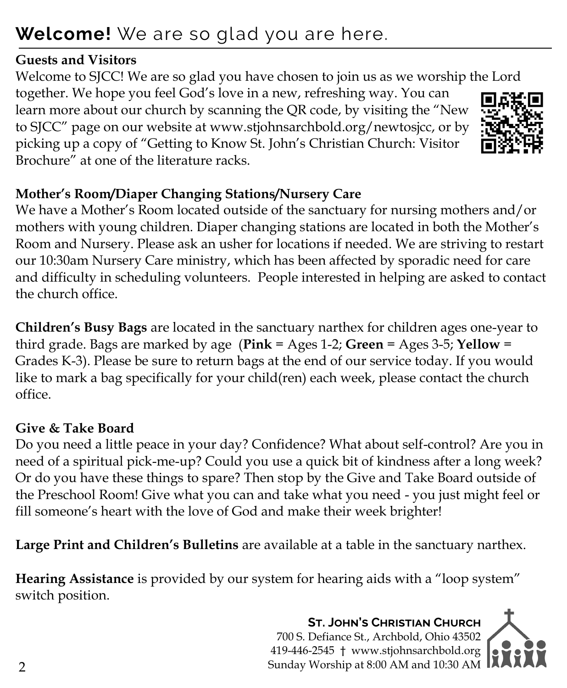# **Welcome!** We are so glad you are here.

#### **Guests and Visitors**

Welcome to SJCC! We are so glad you have chosen to join us as we worship the Lord together. We hope you feel God's love in a new, refreshing way. You can learn more about our church by scanning the QR code, by visiting the "New to SJCC" page on our website at www.stjohnsarchbold.org/newtosjcc, or by picking up a copy of "Getting to Know St. John's Christian Church: Visitor Brochure" at one of the literature racks.

# **Mother's Room/Diaper Changing Stations/Nursery Care**

We have a Mother's Room located outside of the sanctuary for nursing mothers and/or mothers with young children. Diaper changing stations are located in both the Mother's Room and Nursery. Please ask an usher for locations if needed. We are striving to restart our 10:30am Nursery Care ministry, which has been affected by sporadic need for care and difficulty in scheduling volunteers. People interested in helping are asked to contact the church office.

**Children's Busy Bags** are located in the sanctuary narthex for children ages one-year to third grade. Bags are marked by age (**Pink** = Ages 1-2; **Green** = Ages 3-5; **Yellow** = Grades K-3). Please be sure to return bags at the end of our service today. If you would like to mark a bag specifically for your child(ren) each week, please contact the church office.

# **Give & Take Board**

Do you need a little peace in your day? Confidence? What about self-control? Are you in need of a spiritual pick-me-up? Could you use a quick bit of kindness after a long week? Or do you have these things to spare? Then stop by the Give and Take Board outside of the Preschool Room! Give what you can and take what you need - you just might feel or fill someone's heart with the love of God and make their week brighter!

**Large Print and Children's Bulletins** are available at a table in the sanctuary narthex.

**Hearing Assistance** is provided by our system for hearing aids with a "loop system" switch position.

> **St. John's Christian Church** 700 S. Defiance St., Archbold, Ohio 43502 419-446-2545 † www.stjohnsarchbold.org Sunday Worship at 8:00 AM and 10:30 AM  $\blacksquare$





2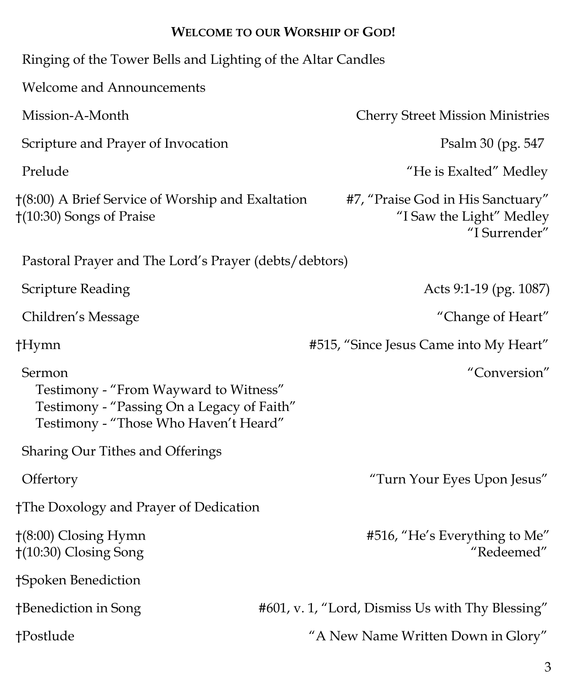#### **WELCOME TO OUR WORSHIP OF GOD!**

| Ringing of the Tower Bells and Lighting of the Altar Candles                                                                           |                                                                                |
|----------------------------------------------------------------------------------------------------------------------------------------|--------------------------------------------------------------------------------|
| <b>Welcome and Announcements</b>                                                                                                       |                                                                                |
| Mission-A-Month                                                                                                                        | <b>Cherry Street Mission Ministries</b>                                        |
| Scripture and Prayer of Invocation                                                                                                     | Psalm 30 (pg. 547)                                                             |
| Prelude                                                                                                                                | "He is Exalted" Medley                                                         |
| $\dagger$ (8:00) A Brief Service of Worship and Exaltation<br>$(10:30)$ Songs of Praise                                                | #7, "Praise God in His Sanctuary"<br>"I Saw the Light" Medley<br>"I Surrender" |
| Pastoral Prayer and The Lord's Prayer (debts/debtors)                                                                                  |                                                                                |
| Scripture Reading                                                                                                                      | Acts 9:1-19 (pg. 1087)                                                         |
| Children's Message                                                                                                                     | "Change of Heart"                                                              |
| †Hymn                                                                                                                                  | #515, "Since Jesus Came into My Heart"                                         |
| Sermon<br>Testimony - "From Wayward to Witness"<br>Testimony - "Passing On a Legacy of Faith"<br>Testimony - "Those Who Haven't Heard" | "Conversion"                                                                   |
| <b>Sharing Our Tithes and Offerings</b>                                                                                                |                                                                                |
| Offertory                                                                                                                              | "Turn Your Eyes Upon Jesus"                                                    |
| †The Doxology and Prayer of Dedication                                                                                                 |                                                                                |
| $\uparrow$ (8:00) Closing Hymn<br>†(10:30) Closing Song                                                                                | #516, "He's Everything to Me"<br>"Redeemed"                                    |
| †Spoken Benediction                                                                                                                    |                                                                                |
| †Benediction in Song                                                                                                                   | #601, v. 1, "Lord, Dismiss Us with Thy Blessing"                               |
| †Postlude                                                                                                                              | "A New Name Written Down in Glory"                                             |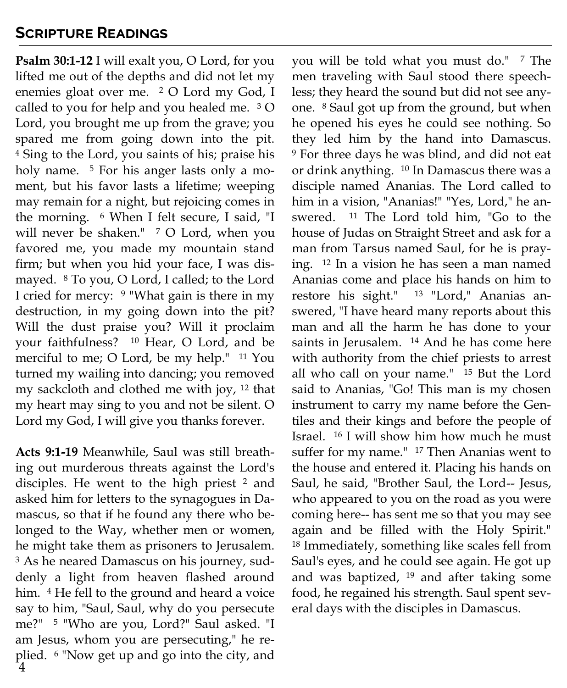#### **Scripture Readings**

**Psalm 30:1-12** I will exalt you, O Lord, for you lifted me out of the depths and did not let my enemies gloat over me. <sup>2</sup> O Lord my God, I called to you for help and you healed me. <sup>3</sup> O Lord, you brought me up from the grave; you spared me from going down into the pit. <sup>4</sup> Sing to the Lord, you saints of his; praise his holy name. <sup>5</sup> For his anger lasts only a moment, but his favor lasts a lifetime; weeping may remain for a night, but rejoicing comes in the morning. <sup>6</sup> When I felt secure, I said, "I will never be shaken." <sup>7</sup> O Lord, when you favored me, you made my mountain stand firm; but when you hid your face, I was dismayed. <sup>8</sup> To you, O Lord, I called; to the Lord I cried for mercy: <sup>9</sup> "What gain is there in my destruction, in my going down into the pit? Will the dust praise you? Will it proclaim your faithfulness? <sup>10</sup> Hear, O Lord, and be merciful to me; O Lord, be my help." <sup>11</sup> You turned my wailing into dancing; you removed my sackcloth and clothed me with joy, <sup>12</sup> that my heart may sing to you and not be silent. O Lord my God, I will give you thanks forever.

4 **Acts 9:1-19** Meanwhile, Saul was still breathing out murderous threats against the Lord's disciples. He went to the high priest <sup>2</sup> and asked him for letters to the synagogues in Damascus, so that if he found any there who belonged to the Way, whether men or women, he might take them as prisoners to Jerusalem. <sup>3</sup> As he neared Damascus on his journey, suddenly a light from heaven flashed around him. <sup>4</sup> He fell to the ground and heard a voice say to him, "Saul, Saul, why do you persecute me?" <sup>5</sup> "Who are you, Lord?" Saul asked. "I am Jesus, whom you are persecuting," he replied. <sup>6</sup> "Now get up and go into the city, and

you will be told what you must do." <sup>7</sup> The men traveling with Saul stood there speechless; they heard the sound but did not see anyone. <sup>8</sup> Saul got up from the ground, but when he opened his eyes he could see nothing. So they led him by the hand into Damascus. <sup>9</sup> For three days he was blind, and did not eat or drink anything. <sup>10</sup> In Damascus there was a disciple named Ananias. The Lord called to him in a vision, "Ananias!" "Yes, Lord," he answered. <sup>11</sup> The Lord told him, "Go to the house of Judas on Straight Street and ask for a man from Tarsus named Saul, for he is praying. <sup>12</sup> In a vision he has seen a man named Ananias come and place his hands on him to restore his sight." <sup>13</sup> "Lord," Ananias answered, "I have heard many reports about this man and all the harm he has done to your saints in Jerusalem. <sup>14</sup> And he has come here with authority from the chief priests to arrest all who call on your name." <sup>15</sup> But the Lord said to Ananias, "Go! This man is my chosen instrument to carry my name before the Gentiles and their kings and before the people of Israel. <sup>16</sup> I will show him how much he must suffer for my name." <sup>17</sup> Then Ananias went to the house and entered it. Placing his hands on Saul, he said, "Brother Saul, the Lord-- Jesus, who appeared to you on the road as you were coming here-- has sent me so that you may see again and be filled with the Holy Spirit." <sup>18</sup> Immediately, something like scales fell from Saul's eyes, and he could see again. He got up and was baptized, <sup>19</sup> and after taking some food, he regained his strength. Saul spent several days with the disciples in Damascus.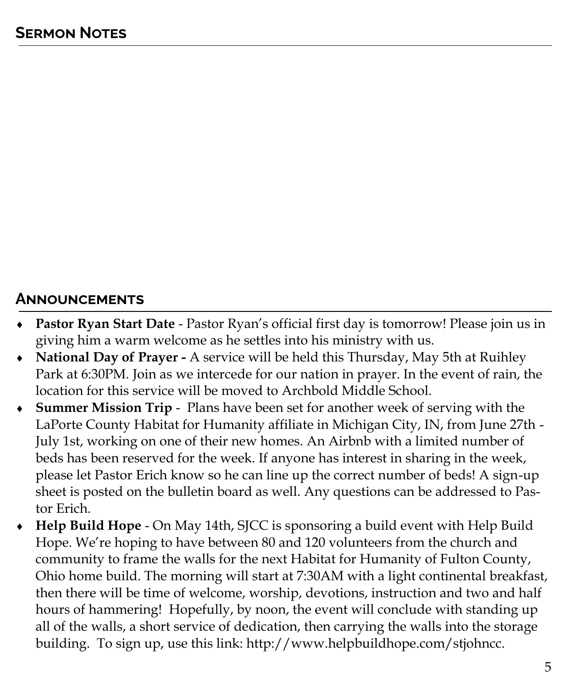#### **Announcements**

- **Pastor Ryan Start Date**  Pastor Ryan's official first day is tomorrow! Please join us in giving him a warm welcome as he settles into his ministry with us.
- **National Day of Prayer -** A service will be held this Thursday, May 5th at Ruihley Park at 6:30PM. Join as we intercede for our nation in prayer. In the event of rain, the location for this service will be moved to Archbold Middle School.
- **Summer Mission Trip**  Plans have been set for another week of serving with the LaPorte County Habitat for Humanity affiliate in Michigan City, IN, from June 27th - July 1st, working on one of their new homes. An Airbnb with a limited number of beds has been reserved for the week. If anyone has interest in sharing in the week, please let Pastor Erich know so he can line up the correct number of beds! A sign-up sheet is posted on the bulletin board as well. Any questions can be addressed to Pastor Erich.
- **Help Build Hope**  On May 14th, SJCC is sponsoring a build event with Help Build Hope. We're hoping to have between 80 and 120 volunteers from the church and community to frame the walls for the next Habitat for Humanity of Fulton County, Ohio home build. The morning will start at 7:30AM with a light continental breakfast, then there will be time of welcome, worship, devotions, instruction and two and half hours of hammering! Hopefully, by noon, the event will conclude with standing up all of the walls, a short service of dedication, then carrying the walls into the storage building. To sign up, use this link: http://www.helpbuildhope.com/stjohncc.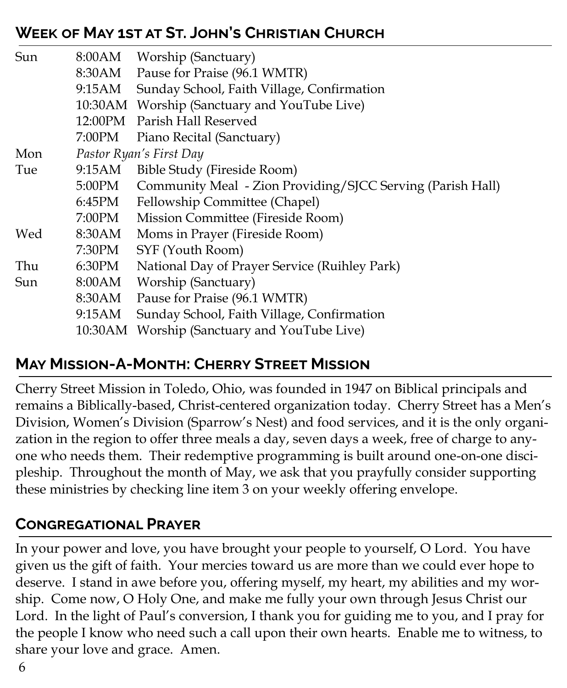# **Week of May 1st at St. John's Christian Church**

| Sun |        | 8:00AM Worship (Sanctuary)                                 |  |
|-----|--------|------------------------------------------------------------|--|
|     |        | 8:30AM Pause for Praise (96.1 WMTR)                        |  |
|     |        | 9:15AM Sunday School, Faith Village, Confirmation          |  |
|     |        | 10:30 AM Worship (Sanctuary and YouTube Live)              |  |
|     |        | 12:00PM Parish Hall Reserved                               |  |
|     |        | 7:00PM Piano Recital (Sanctuary)                           |  |
| Mon |        | Pastor Ryan's First Day                                    |  |
| Tue | 9:15AM | Bible Study (Fireside Room)                                |  |
|     | 5:00PM | Community Meal - Zion Providing/SJCC Serving (Parish Hall) |  |
|     | 6:45PM | <b>Fellowship Committee (Chapel)</b>                       |  |
|     | 7:00PM | Mission Committee (Fireside Room)                          |  |
| Wed | 8:30AM | Moms in Prayer (Fireside Room)                             |  |
|     | 7:30PM | SYF (Youth Room)                                           |  |
| Thu | 6:30PM | National Day of Prayer Service (Ruihley Park)              |  |
| Sun | 8:00AM | Worship (Sanctuary)                                        |  |
|     | 8:30AM | Pause for Praise (96.1 WMTR)                               |  |
|     | 9:15AM | Sunday School, Faith Village, Confirmation                 |  |
|     |        | 10:30 AM Worship (Sanctuary and YouTube Live)              |  |

### **May Mission-A-Month: Cherry Street Mission**

Cherry Street Mission in Toledo, Ohio, was founded in 1947 on Biblical principals and remains a Biblically-based, Christ-centered organization today. Cherry Street has a Men's Division, Women's Division (Sparrow's Nest) and food services, and it is the only organization in the region to offer three meals a day, seven days a week, free of charge to anyone who needs them. Their redemptive programming is built around one-on-one discipleship. Throughout the month of May, we ask that you prayfully consider supporting these ministries by checking line item 3 on your weekly offering envelope.

### **Congregational Prayer**

In your power and love, you have brought your people to yourself, O Lord. You have given us the gift of faith. Your mercies toward us are more than we could ever hope to deserve. I stand in awe before you, offering myself, my heart, my abilities and my worship. Come now, O Holy One, and make me fully your own through Jesus Christ our Lord. In the light of Paul's conversion, I thank you for guiding me to you, and I pray for the people I know who need such a call upon their own hearts. Enable me to witness, to share your love and grace. Amen.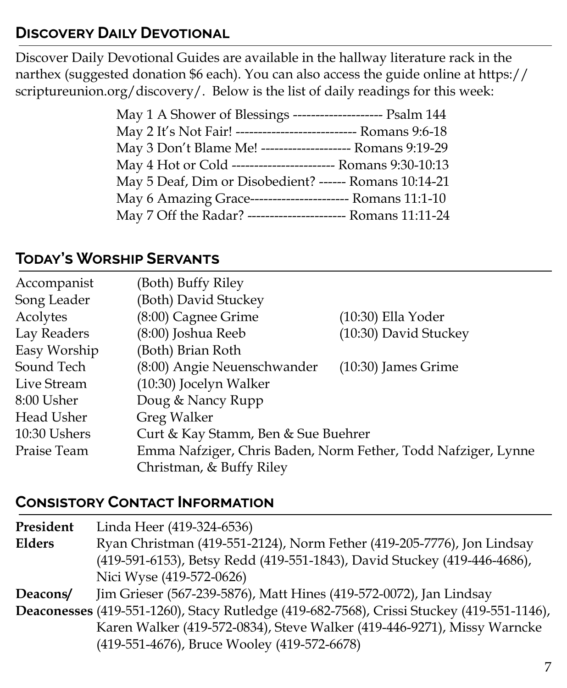## **Discovery Daily Devotional**

Discover Daily Devotional Guides are available in the hallway literature rack in the narthex (suggested donation \$6 each). You can also access the guide online at https:// scriptureunion.org/discovery/. Below is the list of daily readings for this week:

| May 1 A Shower of Blessings -------------------- Psalm 144     |  |
|----------------------------------------------------------------|--|
| May 2 It's Not Fair! --------------------------- Romans 9:6-18 |  |
| May 3 Don't Blame Me! -------------------- Romans 9:19-29      |  |
| May 4 Hot or Cold ------------------------ Romans 9:30-10:13   |  |
| May 5 Deaf, Dim or Disobedient? ------ Romans 10:14-21         |  |
| May 6 Amazing Grace------------------------ Romans 11:1-10     |  |
| May 7 Off the Radar? ---------------------- Romans 11:11-24    |  |
|                                                                |  |

#### **Today's Worship Servants**

| Accompanist  | (Both) Buffy Riley                                            |                       |  |
|--------------|---------------------------------------------------------------|-----------------------|--|
| Song Leader  | (Both) David Stuckey                                          |                       |  |
| Acolytes     | (8:00) Cagnee Grime                                           | (10:30) Ella Yoder    |  |
| Lay Readers  | (8:00) Joshua Reeb                                            | (10:30) David Stuckey |  |
| Easy Worship | (Both) Brian Roth                                             |                       |  |
| Sound Tech   | (8:00) Angie Neuenschwander                                   | $(10:30)$ James Grime |  |
| Live Stream  | (10:30) Jocelyn Walker                                        |                       |  |
| 8:00 Usher   | Doug & Nancy Rupp                                             |                       |  |
| Head Usher   | <b>Greg Walker</b>                                            |                       |  |
| 10:30 Ushers | Curt & Kay Stamm, Ben & Sue Buehrer                           |                       |  |
| Praise Team  | Emma Nafziger, Chris Baden, Norm Fether, Todd Nafziger, Lynne |                       |  |
|              | Christman, & Buffy Riley                                      |                       |  |

#### **Consistory Contact Information**

**President** Linda Heer (419-324-6536) **Elders** Ryan Christman (419-551-2124), Norm Fether (419-205-7776), Jon Lindsay (419-591-6153), Betsy Redd (419-551-1843), David Stuckey (419-446-4686), Nici Wyse (419-572-0626) **Deacons/** Jim Grieser (567-239-5876), Matt Hines (419-572-0072), Jan Lindsay

**Deaconesses** (419-551-1260), Stacy Rutledge (419-682-7568), Crissi Stuckey (419-551-1146), Karen Walker (419-572-0834), Steve Walker (419-446-9271), Missy Warncke (419-551-4676), Bruce Wooley (419-572-6678)